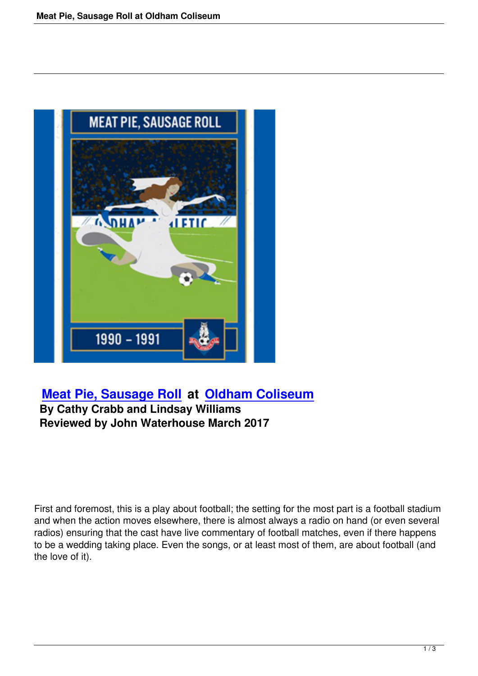

## **Meat Pie, Sausage Roll at Oldham Coliseum**

## **By Cathy Crabb and Lindsay Williams [Reviewed by John Waterho](meat-pie-sausage-roll.html)us[e March 2017](http://www.coliseum.org.uk/)**

First and foremost, this is a play about football; the setting for the most part is a football stadium and when the action moves elsewhere, there is almost always a radio on hand (or even several radios) ensuring that the cast have live commentary of football matches, even if there happens to be a wedding taking place. Even the songs, or at least most of them, are about football (and the love of it).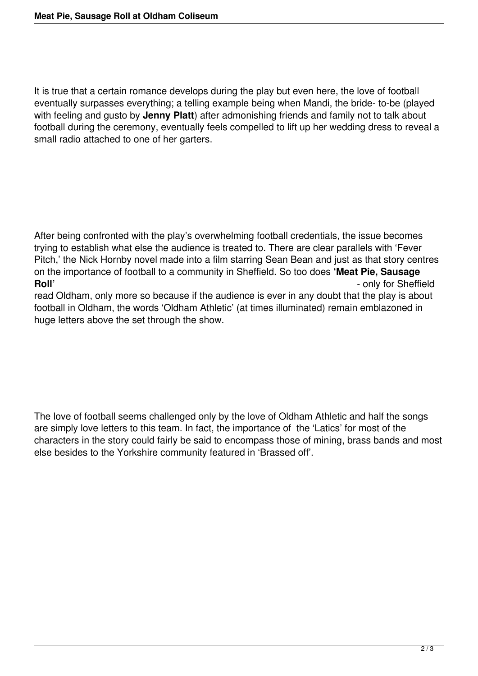It is true that a certain romance develops during the play but even here, the love of football eventually surpasses everything; a telling example being when Mandi, the bride- to-be (played with feeling and gusto by **Jenny Platt**) after admonishing friends and family not to talk about football during the ceremony, eventually feels compelled to lift up her wedding dress to reveal a small radio attached to one of her garters.

After being confronted with the play's overwhelming football credentials, the issue becomes trying to establish what else the audience is treated to. There are clear parallels with 'Fever Pitch,' the Nick Hornby novel made into a film starring Sean Bean and just as that story centres on the importance of football to a community in Sheffield. So too does **'Meat Pie, Sausage Roll'**  $\blacksquare$  - only for Sheffield read Oldham, only more so because if the audience is ever in any doubt that the play is about football in Oldham, the words 'Oldham Athletic' (at times illuminated) remain emblazoned in

huge letters above the set through the show.

The love of football seems challenged only by the love of Oldham Athletic and half the songs are simply love letters to this team. In fact, the importance of the 'Latics' for most of the characters in the story could fairly be said to encompass those of mining, brass bands and most else besides to the Yorkshire community featured in 'Brassed off'.